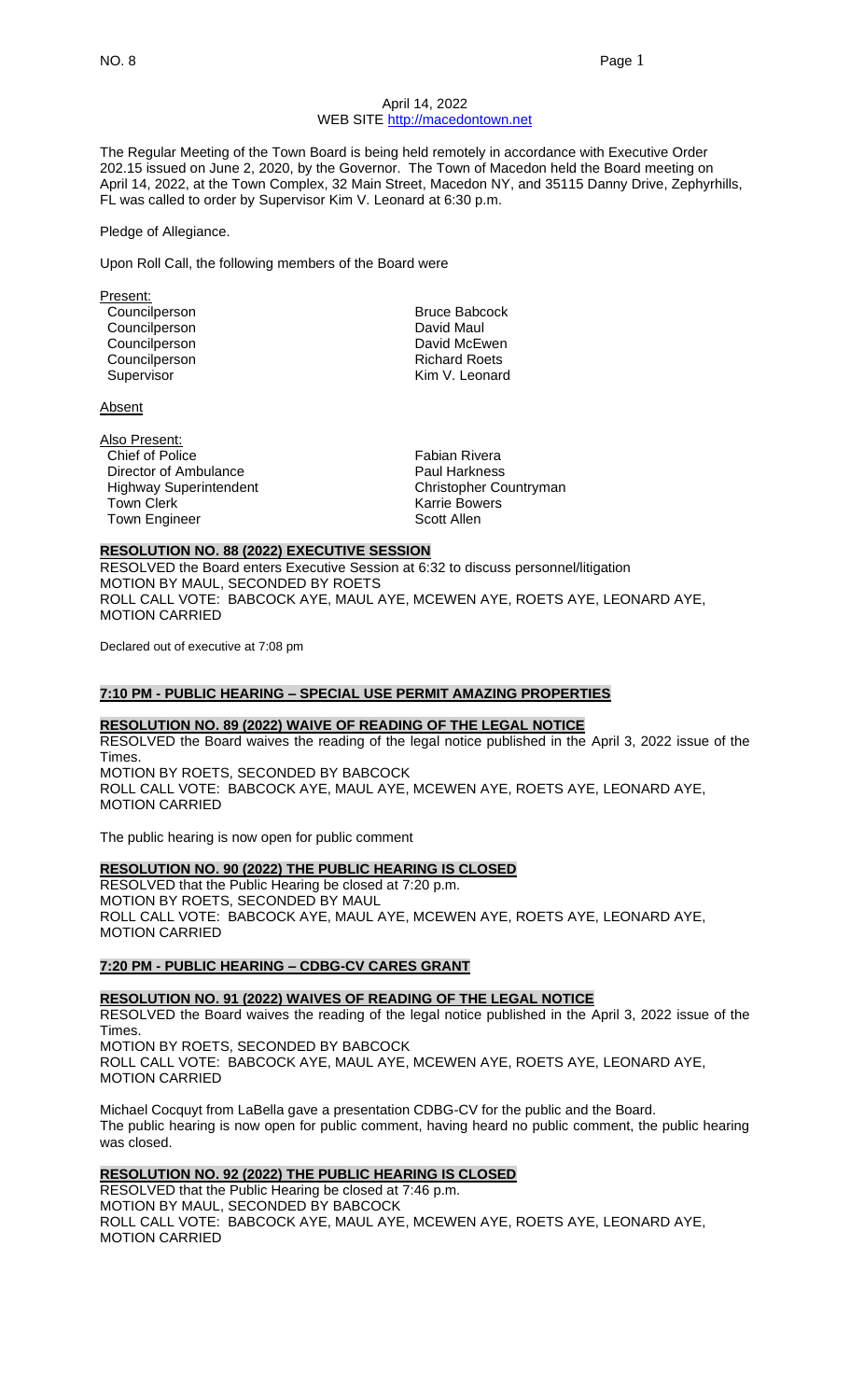#### April 14, 2022 WEB SITE [http://macedontown.net](http://macedontown.net/)

The Regular Meeting of the Town Board is being held remotely in accordance with Executive Order 202.15 issued on June 2, 2020, by the Governor. The Town of Macedon held the Board meeting on April 14, 2022, at the Town Complex, 32 Main Street, Macedon NY, and 35115 Danny Drive, Zephyrhills, FL was called to order by Supervisor Kim V. Leonard at 6:30 p.m.

#### Pledge of Allegiance.

Upon Roll Call, the following members of the Board were

| Present:      |                      |
|---------------|----------------------|
| Councilperson | <b>Bruce Babcock</b> |
| Councilperson | David Maul           |
| Councilperson | David McEwen         |
| Councilperson | <b>Richard Roets</b> |
| Supervisor    | Kim V. Leonard       |
|               |                      |

Absent

| Also Present:                 |
|-------------------------------|
| Chief of Police               |
| Director of Ambulance         |
| <b>Highway Superintendent</b> |
| <b>Town Clerk</b>             |
| <b>Town Engineer</b>          |

Fabian Rivera Paul Harkness Christopher Countryman Karrie Bowers Scott Allen

#### **RESOLUTION NO. 88 (2022) EXECUTIVE SESSION**

RESOLVED the Board enters Executive Session at 6:32 to discuss personnel/litigation MOTION BY MAUL, SECONDED BY ROETS ROLL CALL VOTE: BABCOCK AYE, MAUL AYE, MCEWEN AYE, ROETS AYE, LEONARD AYE, MOTION CARRIED

Declared out of executive at 7:08 pm

# **7:10 PM - PUBLIC HEARING – SPECIAL USE PERMIT AMAZING PROPERTIES**

#### **RESOLUTION NO. 89 (2022) WAIVE OF READING OF THE LEGAL NOTICE**

RESOLVED the Board waives the reading of the legal notice published in the April 3, 2022 issue of the Times. MOTION BY ROETS, SECONDED BY BABCOCK ROLL CALL VOTE: BABCOCK AYE, MAUL AYE, MCEWEN AYE, ROETS AYE, LEONARD AYE, MOTION CARRIED

The public hearing is now open for public comment

#### **RESOLUTION NO. 90 (2022) THE PUBLIC HEARING IS CLOSED**

RESOLVED that the Public Hearing be closed at 7:20 p.m. MOTION BY ROETS, SECONDED BY MAUL ROLL CALL VOTE: BABCOCK AYE, MAUL AYE, MCEWEN AYE, ROETS AYE, LEONARD AYE, MOTION CARRIED

#### **7:20 PM - PUBLIC HEARING – CDBG-CV CARES GRANT**

**RESOLUTION NO. 91 (2022) WAIVES OF READING OF THE LEGAL NOTICE** RESOLVED the Board waives the reading of the legal notice published in the April 3, 2022 issue of the Times. MOTION BY ROETS, SECONDED BY BABCOCK ROLL CALL VOTE: BABCOCK AYE, MAUL AYE, MCEWEN AYE, ROETS AYE, LEONARD AYE, MOTION CARRIED

Michael Cocquyt from LaBella gave a presentation CDBG-CV for the public and the Board. The public hearing is now open for public comment, having heard no public comment, the public hearing was closed.

## **RESOLUTION NO. 92 (2022) THE PUBLIC HEARING IS CLOSED**

RESOLVED that the Public Hearing be closed at 7:46 p.m. MOTION BY MAUL, SECONDED BY BABCOCK ROLL CALL VOTE: BABCOCK AYE, MAUL AYE, MCEWEN AYE, ROETS AYE, LEONARD AYE, MOTION CARRIED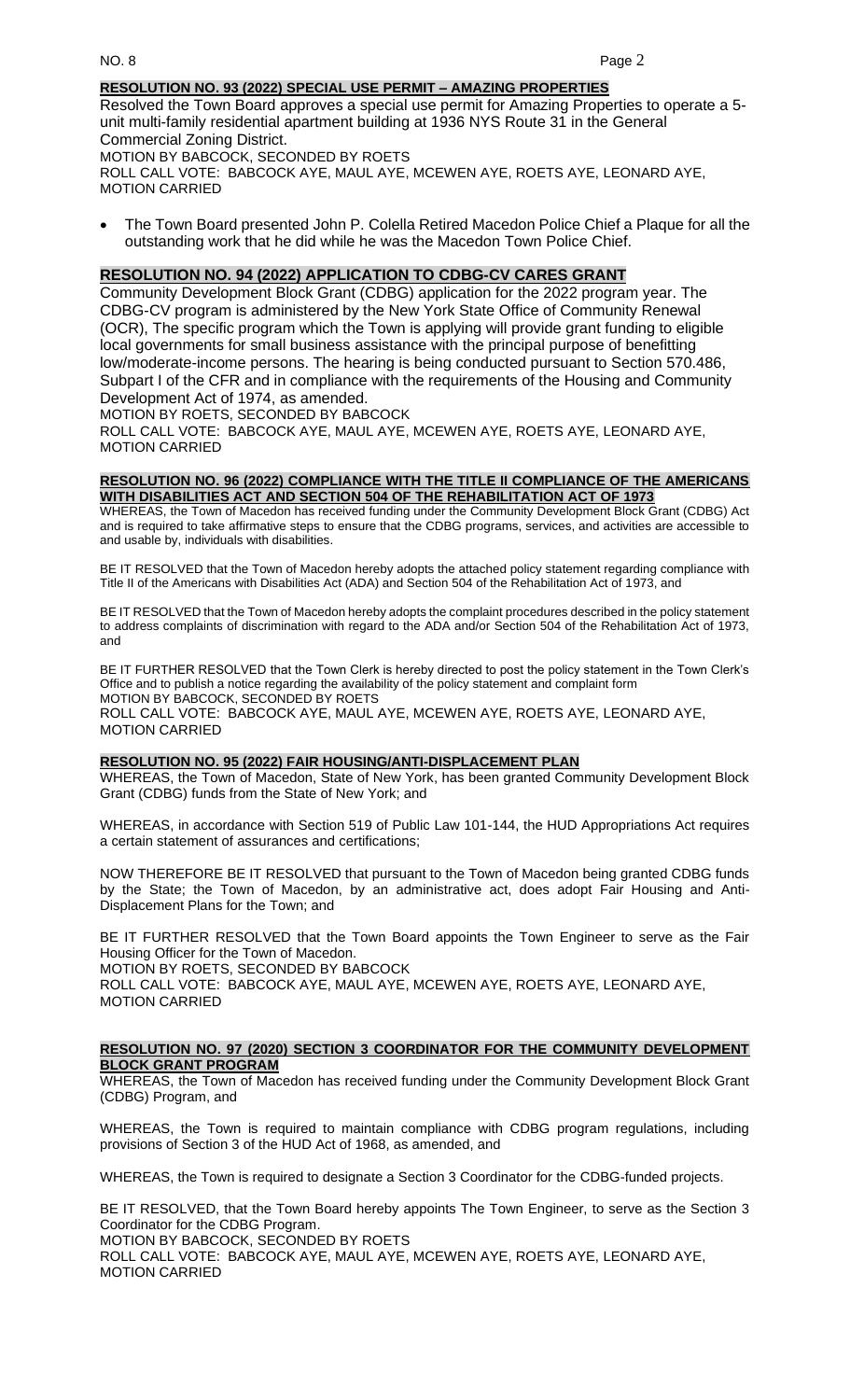## **RESOLUTION NO. 93 (2022) SPECIAL USE PERMIT – AMAZING PROPERTIES**

Resolved the Town Board approves a special use permit for Amazing Properties to operate a 5 unit multi-family residential apartment building at 1936 NYS Route 31 in the General Commercial Zoning District. MOTION BY BABCOCK, SECONDED BY ROETS

ROLL CALL VOTE: BABCOCK AYE, MAUL AYE, MCEWEN AYE, ROETS AYE, LEONARD AYE, MOTION CARRIED

• The Town Board presented John P. Colella Retired Macedon Police Chief a Plaque for all the outstanding work that he did while he was the Macedon Town Police Chief.

## **RESOLUTION NO. 94 (2022) APPLICATION TO CDBG-CV CARES GRANT**

Community Development Block Grant (CDBG) application for the 2022 program year. The CDBG-CV program is administered by the New York State Office of Community Renewal (OCR), The specific program which the Town is applying will provide grant funding to eligible local governments for small business assistance with the principal purpose of benefitting low/moderate-income persons. The hearing is being conducted pursuant to Section 570.486, Subpart I of the CFR and in compliance with the requirements of the Housing and Community Development Act of 1974, as amended.

MOTION BY ROETS, SECONDED BY BABCOCK

ROLL CALL VOTE: BABCOCK AYE, MAUL AYE, MCEWEN AYE, ROETS AYE, LEONARD AYE, MOTION CARRIED

#### **RESOLUTION NO. 96 (2022) COMPLIANCE WITH THE TITLE II COMPLIANCE OF THE AMERICANS WITH DISABILITIES ACT AND SECTION 504 OF THE REHABILITATION ACT OF 1973**

WHEREAS, the Town of Macedon has received funding under the Community Development Block Grant (CDBG) Act and is required to take affirmative steps to ensure that the CDBG programs, services, and activities are accessible to and usable by, individuals with disabilities.

BE IT RESOLVED that the Town of Macedon hereby adopts the attached policy statement regarding compliance with Title II of the Americans with Disabilities Act (ADA) and Section 504 of the Rehabilitation Act of 1973, and

BE IT RESOLVED that the Town of Macedon hereby adopts the complaint procedures described in the policy statement to address complaints of discrimination with regard to the ADA and/or Section 504 of the Rehabilitation Act of 1973, and

BE IT FURTHER RESOLVED that the Town Clerk is hereby directed to post the policy statement in the Town Clerk's Office and to publish a notice regarding the availability of the policy statement and complaint form MOTION BY BABCOCK, SECONDED BY ROETS ROLL CALL VOTE: BABCOCK AYE, MAUL AYE, MCEWEN AYE, ROETS AYE, LEONARD AYE, MOTION CARRIED

# **RESOLUTION NO. 95 (2022) FAIR HOUSING/ANTI-DISPLACEMENT PLAN**

WHEREAS, the Town of Macedon, State of New York, has been granted Community Development Block Grant (CDBG) funds from the State of New York; and

WHEREAS, in accordance with Section 519 of Public Law 101-144, the HUD Appropriations Act requires a certain statement of assurances and certifications;

NOW THEREFORE BE IT RESOLVED that pursuant to the Town of Macedon being granted CDBG funds by the State; the Town of Macedon, by an administrative act, does adopt Fair Housing and Anti-Displacement Plans for the Town; and

BE IT FURTHER RESOLVED that the Town Board appoints the Town Engineer to serve as the Fair Housing Officer for the Town of Macedon.

MOTION BY ROETS, SECONDED BY BABCOCK

ROLL CALL VOTE: BABCOCK AYE, MAUL AYE, MCEWEN AYE, ROETS AYE, LEONARD AYE, MOTION CARRIED

#### **RESOLUTION NO. 97 (2020) SECTION 3 COORDINATOR FOR THE COMMUNITY DEVELOPMENT BLOCK GRANT PROGRAM**

WHEREAS, the Town of Macedon has received funding under the Community Development Block Grant (CDBG) Program, and

WHEREAS, the Town is required to maintain compliance with CDBG program regulations, including provisions of Section 3 of the HUD Act of 1968, as amended, and

WHEREAS, the Town is required to designate a Section 3 Coordinator for the CDBG-funded projects.

BE IT RESOLVED, that the Town Board hereby appoints The Town Engineer, to serve as the Section 3 Coordinator for the CDBG Program.

MOTION BY BABCOCK, SECONDED BY ROETS

ROLL CALL VOTE: BABCOCK AYE, MAUL AYE, MCEWEN AYE, ROETS AYE, LEONARD AYE, MOTION CARRIED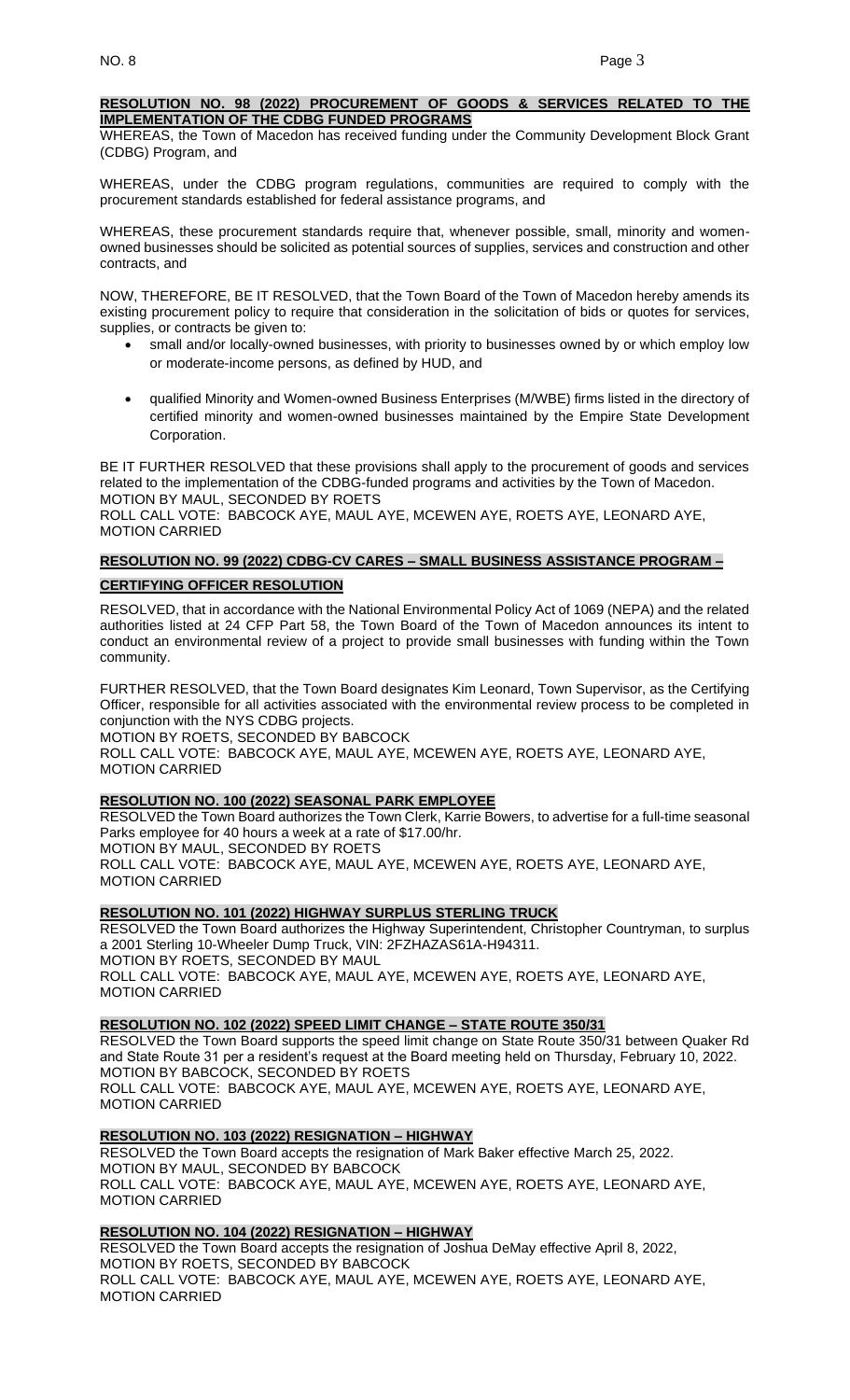### **RESOLUTION NO. 98 (2022) PROCUREMENT OF GOODS & SERVICES RELATED TO THE IMPLEMENTATION OF THE CDBG FUNDED PROGRAMS**

WHEREAS, the Town of Macedon has received funding under the Community Development Block Grant (CDBG) Program, and

WHEREAS, under the CDBG program regulations, communities are required to comply with the procurement standards established for federal assistance programs, and

WHEREAS, these procurement standards require that, whenever possible, small, minority and womenowned businesses should be solicited as potential sources of supplies, services and construction and other contracts, and

NOW, THEREFORE, BE IT RESOLVED, that the Town Board of the Town of Macedon hereby amends its existing procurement policy to require that consideration in the solicitation of bids or quotes for services, supplies, or contracts be given to:

- small and/or locally-owned businesses, with priority to businesses owned by or which employ low or moderate-income persons, as defined by HUD, and
- qualified Minority and Women-owned Business Enterprises (M/WBE) firms listed in the directory of certified minority and women-owned businesses maintained by the Empire State Development Corporation.

BE IT FURTHER RESOLVED that these provisions shall apply to the procurement of goods and services related to the implementation of the CDBG-funded programs and activities by the Town of Macedon. MOTION BY MAUL, SECONDED BY ROETS

ROLL CALL VOTE: BABCOCK AYE, MAUL AYE, MCEWEN AYE, ROETS AYE, LEONARD AYE, MOTION CARRIED

# **RESOLUTION NO. 99 (2022) CDBG-CV CARES – SMALL BUSINESS ASSISTANCE PROGRAM – CERTIFYING OFFICER RESOLUTION**

RESOLVED, that in accordance with the National Environmental Policy Act of 1069 (NEPA) and the related authorities listed at 24 CFP Part 58, the Town Board of the Town of Macedon announces its intent to conduct an environmental review of a project to provide small businesses with funding within the Town community.

FURTHER RESOLVED, that the Town Board designates Kim Leonard, Town Supervisor, as the Certifying Officer, responsible for all activities associated with the environmental review process to be completed in conjunction with the NYS CDBG projects. MOTION BY ROETS, SECONDED BY BABCOCK ROLL CALL VOTE: BABCOCK AYE, MAUL AYE, MCEWEN AYE, ROETS AYE, LEONARD AYE,

MOTION CARRIED

## **RESOLUTION NO. 100 (2022) SEASONAL PARK EMPLOYEE**

RESOLVED the Town Board authorizes the Town Clerk, Karrie Bowers, to advertise for a full-time seasonal Parks employee for 40 hours a week at a rate of \$17.00/hr. MOTION BY MAUL, SECONDED BY ROETS ROLL CALL VOTE: BABCOCK AYE, MAUL AYE, MCEWEN AYE, ROETS AYE, LEONARD AYE, MOTION CARRIED

# **RESOLUTION NO. 101 (2022) HIGHWAY SURPLUS STERLING TRUCK**

RESOLVED the Town Board authorizes the Highway Superintendent, Christopher Countryman, to surplus a 2001 Sterling 10-Wheeler Dump Truck, VIN: 2FZHAZAS61A-H94311.

MOTION BY ROETS, SECONDED BY MAUL ROLL CALL VOTE: BABCOCK AYE, MAUL AYE, MCEWEN AYE, ROETS AYE, LEONARD AYE, MOTION CARRIED

## **RESOLUTION NO. 102 (2022) SPEED LIMIT CHANGE – STATE ROUTE 350/31**

RESOLVED the Town Board supports the speed limit change on State Route 350/31 between Quaker Rd and State Route 31 per a resident's request at the Board meeting held on Thursday, February 10, 2022. MOTION BY BABCOCK, SECONDED BY ROETS ROLL CALL VOTE: BABCOCK AYE, MAUL AYE, MCEWEN AYE, ROETS AYE, LEONARD AYE, MOTION CARRIED

## **RESOLUTION NO. 103 (2022) RESIGNATION – HIGHWAY**

RESOLVED the Town Board accepts the resignation of Mark Baker effective March 25, 2022. MOTION BY MAUL, SECONDED BY BABCOCK ROLL CALL VOTE: BABCOCK AYE, MAUL AYE, MCEWEN AYE, ROETS AYE, LEONARD AYE, MOTION CARRIED

## **RESOLUTION NO. 104 (2022) RESIGNATION – HIGHWAY**

RESOLVED the Town Board accepts the resignation of Joshua DeMay effective April 8, 2022, MOTION BY ROETS, SECONDED BY BABCOCK ROLL CALL VOTE: BABCOCK AYE, MAUL AYE, MCEWEN AYE, ROETS AYE, LEONARD AYE, MOTION CARRIED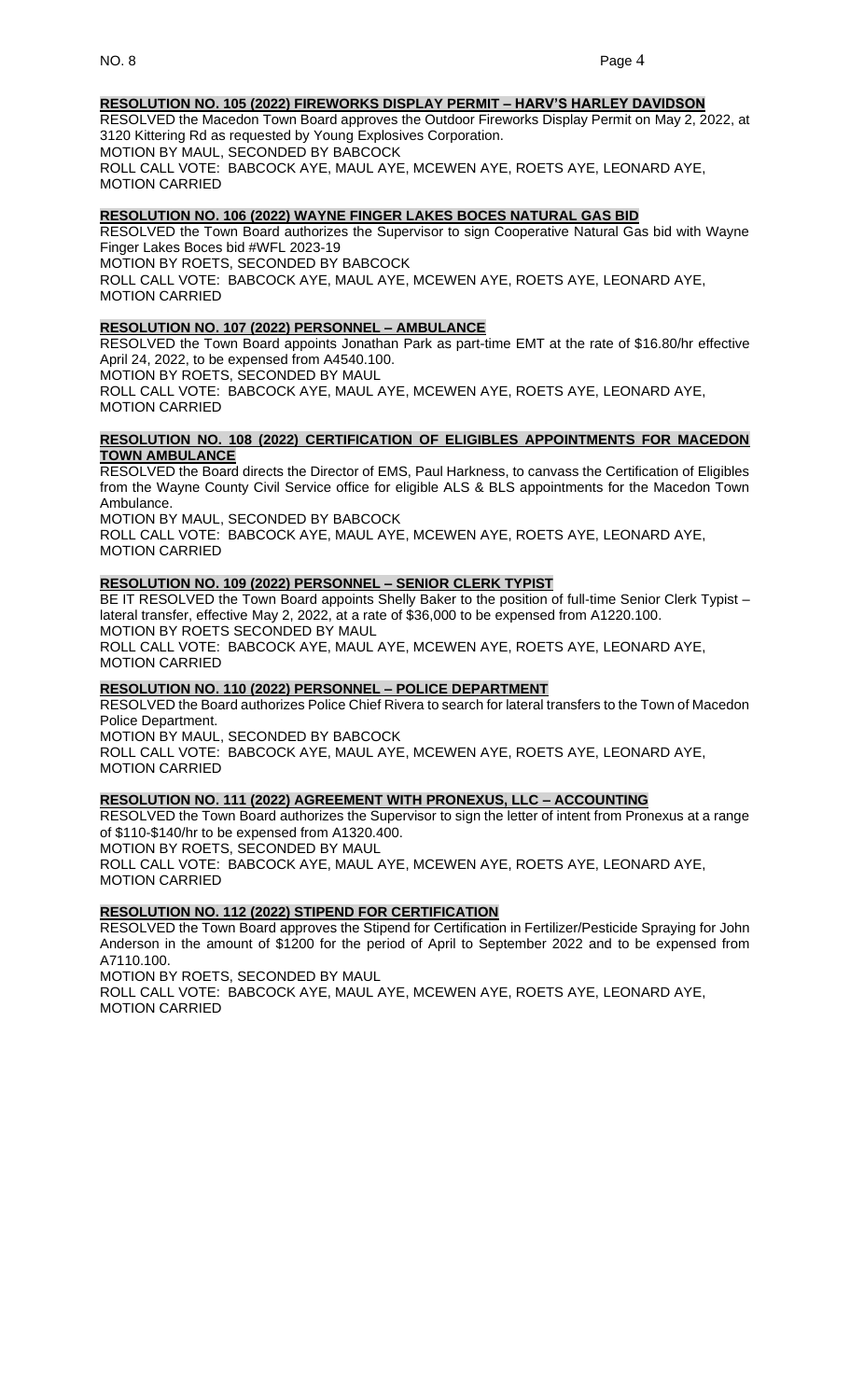## **RESOLUTION NO. 105 (2022) FIREWORKS DISPLAY PERMIT – HARV'S HARLEY DAVIDSON**

RESOLVED the Macedon Town Board approves the Outdoor Fireworks Display Permit on May 2, 2022, at 3120 Kittering Rd as requested by Young Explosives Corporation. MOTION BY MAUL, SECONDED BY BABCOCK

ROLL CALL VOTE: BABCOCK AYE, MAUL AYE, MCEWEN AYE, ROETS AYE, LEONARD AYE, MOTION CARRIED

#### **RESOLUTION NO. 106 (2022) WAYNE FINGER LAKES BOCES NATURAL GAS BID**

RESOLVED the Town Board authorizes the Supervisor to sign Cooperative Natural Gas bid with Wayne Finger Lakes Boces bid #WFL 2023-19

MOTION BY ROETS, SECONDED BY BABCOCK

ROLL CALL VOTE: BABCOCK AYE, MAUL AYE, MCEWEN AYE, ROETS AYE, LEONARD AYE, MOTION CARRIED

#### **RESOLUTION NO. 107 (2022) PERSONNEL – AMBULANCE**

RESOLVED the Town Board appoints Jonathan Park as part-time EMT at the rate of \$16.80/hr effective April 24, 2022, to be expensed from A4540.100.

MOTION BY ROETS, SECONDED BY MAUL

ROLL CALL VOTE: BABCOCK AYE, MAUL AYE, MCEWEN AYE, ROETS AYE, LEONARD AYE, MOTION CARRIED

### **RESOLUTION NO. 108 (2022) CERTIFICATION OF ELIGIBLES APPOINTMENTS FOR MACEDON TOWN AMBULANCE**

RESOLVED the Board directs the Director of EMS, Paul Harkness, to canvass the Certification of Eligibles from the Wayne County Civil Service office for eligible ALS & BLS appointments for the Macedon Town Ambulance.

MOTION BY MAUL, SECONDED BY BABCOCK

ROLL CALL VOTE: BABCOCK AYE, MAUL AYE, MCEWEN AYE, ROETS AYE, LEONARD AYE, MOTION CARRIED

#### **RESOLUTION NO. 109 (2022) PERSONNEL – SENIOR CLERK TYPIST**

BE IT RESOLVED the Town Board appoints Shelly Baker to the position of full-time Senior Clerk Typist lateral transfer, effective May 2, 2022, at a rate of \$36,000 to be expensed from A1220.100. MOTION BY ROETS SECONDED BY MAUL ROLL CALL VOTE: BABCOCK AYE, MAUL AYE, MCEWEN AYE, ROETS AYE, LEONARD AYE, MOTION CARRIED

## **RESOLUTION NO. 110 (2022) PERSONNEL – POLICE DEPARTMENT**

RESOLVED the Board authorizes Police Chief Rivera to search for lateral transfers to the Town of Macedon Police Department. MOTION BY MAUL, SECONDED BY BABCOCK

ROLL CALL VOTE: BABCOCK AYE, MAUL AYE, MCEWEN AYE, ROETS AYE, LEONARD AYE, MOTION CARRIED

## **RESOLUTION NO. 111 (2022) AGREEMENT WITH PRONEXUS, LLC – ACCOUNTING**

RESOLVED the Town Board authorizes the Supervisor to sign the letter of intent from Pronexus at a range of \$110-\$140/hr to be expensed from A1320.400. MOTION BY ROETS, SECONDED BY MAUL

ROLL CALL VOTE: BABCOCK AYE, MAUL AYE, MCEWEN AYE, ROETS AYE, LEONARD AYE, MOTION CARRIED

## **RESOLUTION NO. 112 (2022) STIPEND FOR CERTIFICATION**

RESOLVED the Town Board approves the Stipend for Certification in Fertilizer/Pesticide Spraying for John Anderson in the amount of \$1200 for the period of April to September 2022 and to be expensed from A7110.100.

MOTION BY ROETS, SECONDED BY MAUL

ROLL CALL VOTE: BABCOCK AYE, MAUL AYE, MCEWEN AYE, ROETS AYE, LEONARD AYE, MOTION CARRIED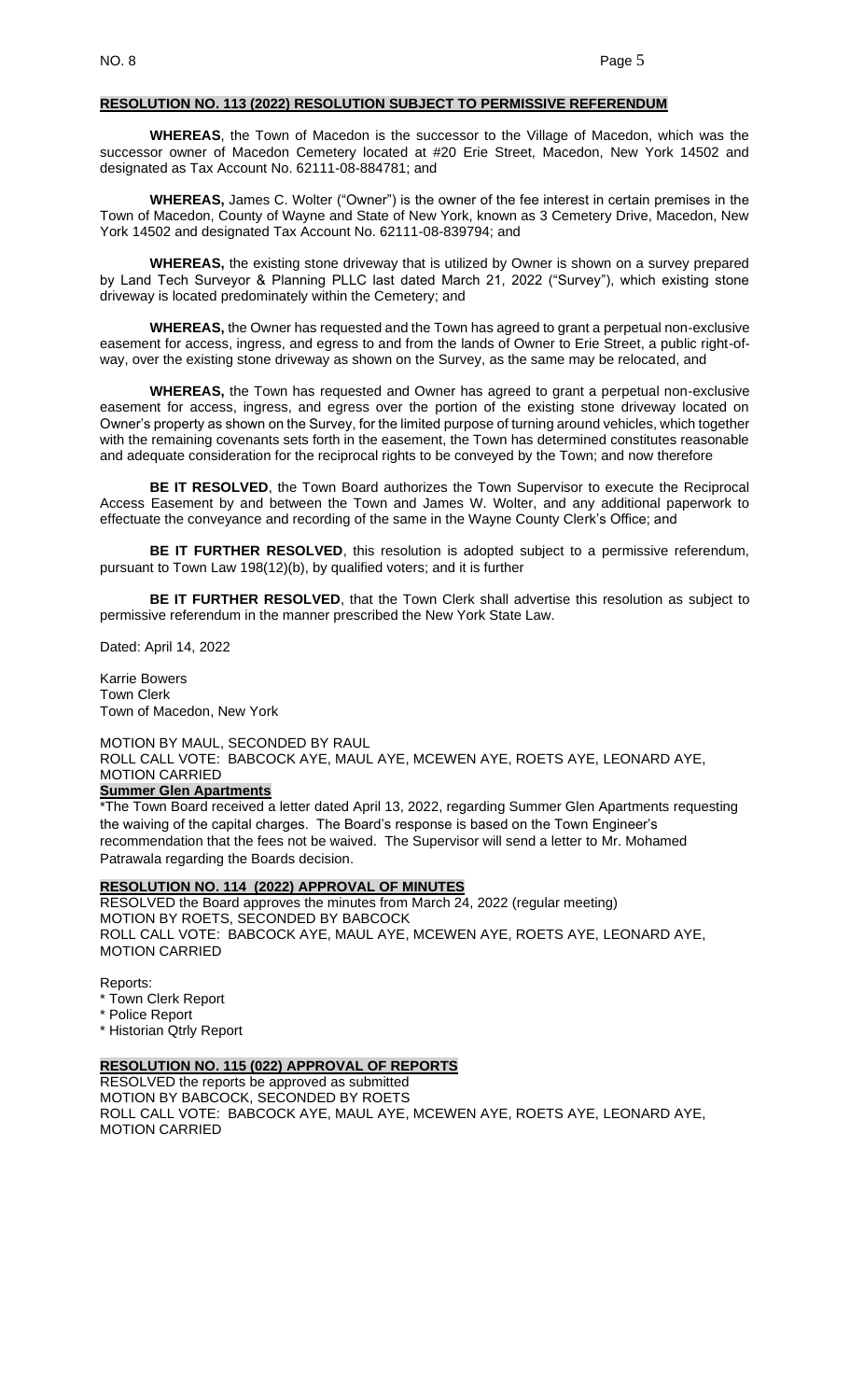#### **RESOLUTION NO. 113 (2022) RESOLUTION SUBJECT TO PERMISSIVE REFERENDUM**

**WHEREAS**, the Town of Macedon is the successor to the Village of Macedon, which was the successor owner of Macedon Cemetery located at #20 Erie Street, Macedon, New York 14502 and designated as Tax Account No. 62111-08-884781; and

**WHEREAS,** James C. Wolter ("Owner") is the owner of the fee interest in certain premises in the Town of Macedon, County of Wayne and State of New York, known as 3 Cemetery Drive, Macedon, New York 14502 and designated Tax Account No. 62111-08-839794; and

**WHEREAS,** the existing stone driveway that is utilized by Owner is shown on a survey prepared by Land Tech Surveyor & Planning PLLC last dated March 21, 2022 ("Survey"), which existing stone driveway is located predominately within the Cemetery; and

**WHEREAS,** the Owner has requested and the Town has agreed to grant a perpetual non-exclusive easement for access, ingress, and egress to and from the lands of Owner to Erie Street, a public right-ofway, over the existing stone driveway as shown on the Survey, as the same may be relocated, and

**WHEREAS,** the Town has requested and Owner has agreed to grant a perpetual non-exclusive easement for access, ingress, and egress over the portion of the existing stone driveway located on Owner's property as shown on the Survey, for the limited purpose of turning around vehicles, which together with the remaining covenants sets forth in the easement, the Town has determined constitutes reasonable and adequate consideration for the reciprocal rights to be conveyed by the Town; and now therefore

**BE IT RESOLVED**, the Town Board authorizes the Town Supervisor to execute the Reciprocal Access Easement by and between the Town and James W. Wolter, and any additional paperwork to effectuate the conveyance and recording of the same in the Wayne County Clerk's Office; and

**BE IT FURTHER RESOLVED**, this resolution is adopted subject to a permissive referendum, pursuant to Town Law 198(12)(b), by qualified voters; and it is further

**BE IT FURTHER RESOLVED**, that the Town Clerk shall advertise this resolution as subject to permissive referendum in the manner prescribed the New York State Law.

Dated: April 14, 2022

Karrie Bowers Town Clerk Town of Macedon, New York

MOTION BY MAUL, SECONDED BY RAUL ROLL CALL VOTE: BABCOCK AYE, MAUL AYE, MCEWEN AYE, ROETS AYE, LEONARD AYE, MOTION CARRIED

#### **Summer Glen Apartments**

\*The Town Board received a letter dated April 13, 2022, regarding Summer Glen Apartments requesting the waiving of the capital charges. The Board's response is based on the Town Engineer's recommendation that the fees not be waived. The Supervisor will send a letter to Mr. Mohamed Patrawala regarding the Boards decision.

#### **RESOLUTION NO. 114 (2022) APPROVAL OF MINUTES**

RESOLVED the Board approves the minutes from March 24, 2022 (regular meeting) MOTION BY ROETS, SECONDED BY BABCOCK ROLL CALL VOTE: BABCOCK AYE, MAUL AYE, MCEWEN AYE, ROETS AYE, LEONARD AYE, MOTION CARRIED

Reports:

- \* Town Clerk Report
- \* Police Report

\* Historian Qtrly Report

## **RESOLUTION NO. 115 (022) APPROVAL OF REPORTS**

RESOLVED the reports be approved as submitted MOTION BY BABCOCK, SECONDED BY ROETS ROLL CALL VOTE: BABCOCK AYE, MAUL AYE, MCEWEN AYE, ROETS AYE, LEONARD AYE, MOTION CARRIED